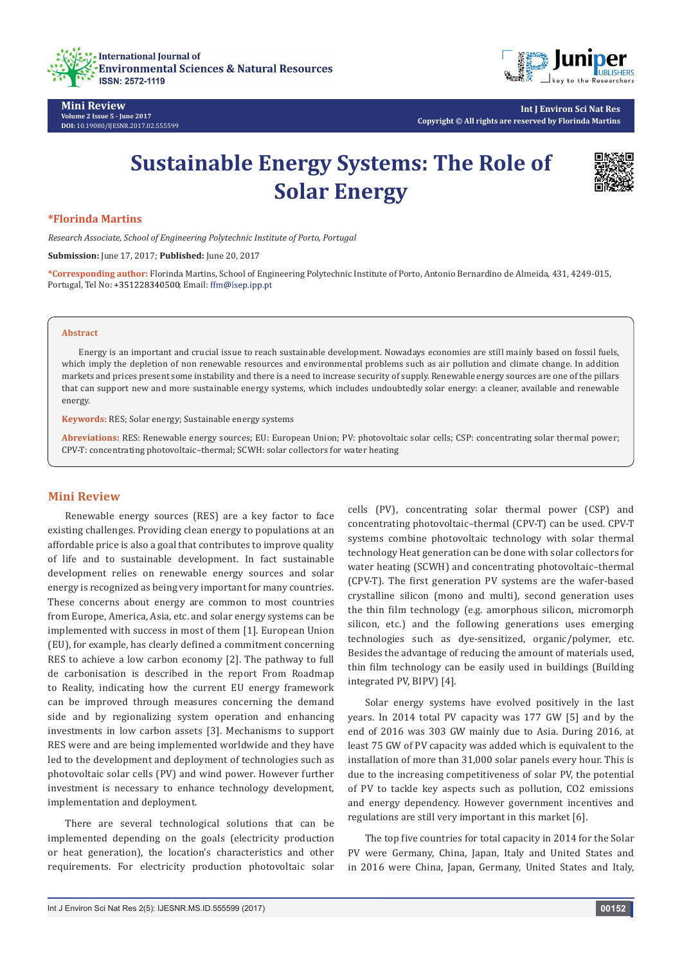

**Mini Review Volume 2 Issue 5 - June 2017 DOI:** [10.19080/IJESNR.2017.02.555599](http://dx.doi.org/10.19080/IJESNR.2017.02.555599)



**Int J Environ Sci Nat Res Copyright © All rights are reserved by Florinda Martins**

# **Sustainable Energy Systems: The Role of Solar Energy**



### **\*Florinda Martins**

*Research Associate, School of Engineering Polytechnic Institute of Porto, Portugal*

**Submission:** June 17, 2017; **Published:** June 20, 2017

**\*Corresponding author:** Florinda Martins, School of Engineering Polytechnic Institute of Porto, Antonio Bernardino de Almeida, 431, 4249-015, Portugal, Tel No: +351228340500; Email: ffm@isep.ipp.pt

#### **Abstract**

Energy is an important and crucial issue to reach sustainable development. Nowadays economies are still mainly based on fossil fuels, which imply the depletion of non renewable resources and environmental problems such as air pollution and climate change. In addition markets and prices present some instability and there is a need to increase security of supply. Renewable energy sources are one of the pillars that can support new and more sustainable energy systems, which includes undoubtedly solar energy: a cleaner, available and renewable energy.

**Keywords:** RES; Solar energy; Sustainable energy systems

**Abreviations:** RES: Renewable energy sources; EU: European Union; PV: photovoltaic solar cells; CSP: concentrating solar thermal power; CPV-T: concentrating photovoltaic–thermal; SCWH: solar collectors for water heating

## **Mini Review**

Renewable energy sources (RES) are a key factor to face existing challenges. Providing clean energy to populations at an affordable price is also a goal that contributes to improve quality of life and to sustainable development. In fact sustainable development relies on renewable energy sources and solar energy is recognized as being very important for many countries. These concerns about energy are common to most countries from Europe, America, Asia, etc. and solar energy systems can be implemented with success in most of them [1]. European Union (EU), for example, has clearly defined a commitment concerning RES to achieve a low carbon economy [2]. The pathway to full de carbonisation is described in the report From Roadmap to Reality, indicating how the current EU energy framework can be improved through measures concerning the demand side and by regionalizing system operation and enhancing investments in low carbon assets [3]. Mechanisms to support RES were and are being implemented worldwide and they have led to the development and deployment of technologies such as photovoltaic solar cells (PV) and wind power. However further investment is necessary to enhance technology development, implementation and deployment.

There are several technological solutions that can be implemented depending on the goals (electricity production or heat generation), the location's characteristics and other requirements. For electricity production photovoltaic solar cells (PV), concentrating solar thermal power (CSP) and concentrating photovoltaic–thermal (CPV-T) can be used. CPV-T systems combine photovoltaic technology with solar thermal technology Heat generation can be done with solar collectors for water heating (SCWH) and concentrating photovoltaic–thermal (CPV-T). The first generation PV systems are the wafer-based crystalline silicon (mono and multi), second generation uses the thin film technology (e.g. amorphous silicon, micromorph silicon, etc.) and the following generations uses emerging technologies such as dye-sensitized, organic/polymer, etc. Besides the advantage of reducing the amount of materials used, thin film technology can be easily used in buildings (Building integrated PV, BIPV) [4].

Solar energy systems have evolved positively in the last years. In 2014 total PV capacity was 177 GW [5] and by the end of 2016 was 303 GW mainly due to Asia. During 2016, at least 75 GW of PV capacity was added which is equivalent to the installation of more than 31,000 solar panels every hour. This is due to the increasing competitiveness of solar PV, the potential of PV to tackle key aspects such as pollution, CO2 emissions and energy dependency. However government incentives and regulations are still very important in this market [6].

The top five countries for total capacity in 2014 for the Solar PV were Germany, China, Japan, Italy and United States and in 2016 were China, Japan, Germany, United States and Italy,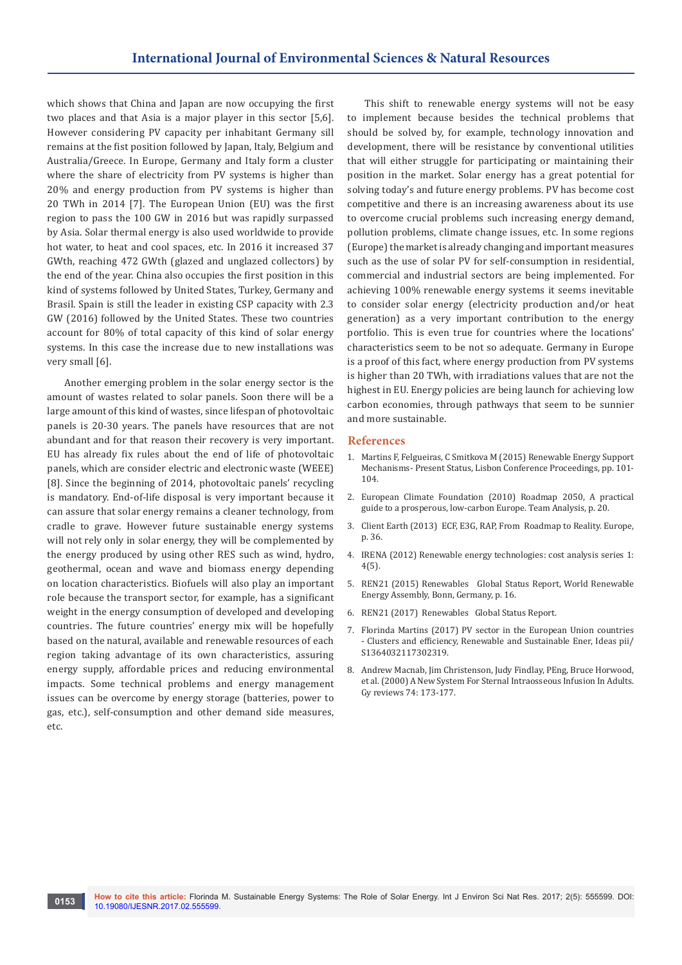which shows that China and Japan are now occupying the first two places and that Asia is a major player in this sector [5,6]. However considering PV capacity per inhabitant Germany sill remains at the fist position followed by Japan, Italy, Belgium and Australia/Greece. In Europe, Germany and Italy form a cluster where the share of electricity from PV systems is higher than 20% and energy production from PV systems is higher than 20 TWh in 2014 [7]. The European Union (EU) was the first region to pass the 100 GW in 2016 but was rapidly surpassed by Asia. Solar thermal energy is also used worldwide to provide hot water, to heat and cool spaces, etc. In 2016 it increased 37 GWth, reaching 472 GWth (glazed and unglazed collectors) by the end of the year. China also occupies the first position in this kind of systems followed by United States, Turkey, Germany and Brasil. Spain is still the leader in existing CSP capacity with 2.3 GW (2016) followed by the United States. These two countries account for 80% of total capacity of this kind of solar energy systems. In this case the increase due to new installations was very small [6].

Another emerging problem in the solar energy sector is the amount of wastes related to solar panels. Soon there will be a large amount of this kind of wastes, since lifespan of photovoltaic panels is 20-30 years. The panels have resources that are not abundant and for that reason their recovery is very important. EU has already fix rules about the end of life of photovoltaic panels, which are consider electric and electronic waste (WEEE) [8]. Since the beginning of 2014, photovoltaic panels' recycling is mandatory. End-of-life disposal is very important because it can assure that solar energy remains a cleaner technology, from cradle to grave. However future sustainable energy systems will not rely only in solar energy, they will be complemented by the energy produced by using other RES such as wind, hydro, geothermal, ocean and wave and biomass energy depending on location characteristics. Biofuels will also play an important role because the transport sector, for example, has a significant weight in the energy consumption of developed and developing countries. The future countries' energy mix will be hopefully based on the natural, available and renewable resources of each region taking advantage of its own characteristics, assuring energy supply, affordable prices and reducing environmental impacts. Some technical problems and energy management issues can be overcome by energy storage (batteries, power to gas, etc.), self-consumption and other demand side measures, etc.

This shift to renewable energy systems will not be easy to implement because besides the technical problems that should be solved by, for example, technology innovation and development, there will be resistance by conventional utilities that will either struggle for participating or maintaining their position in the market. Solar energy has a great potential for solving today's and future energy problems. PV has become cost competitive and there is an increasing awareness about its use to overcome crucial problems such increasing energy demand, pollution problems, climate change issues, etc. In some regions (Europe) the market is already changing and important measures such as the use of solar PV for self-consumption in residential, commercial and industrial sectors are being implemented. For achieving 100% renewable energy systems it seems inevitable to consider solar energy (electricity production and/or heat generation) as a very important contribution to the energy portfolio. This is even true for countries where the locations' characteristics seem to be not so adequate. Germany in Europe is a proof of this fact, where energy production from PV systems is higher than 20 TWh, with irradiations values that are not the highest in EU. Energy policies are being launch for achieving low carbon economies, through pathways that seem to be sunnier and more sustainable.

#### **References**

- 1. Martins F, Felgueiras, C Smitkova M (2015) Renewable Energy Support Mechanisms- Present Status, Lisbon Conference Proceedings, pp. 101- 104.
- 2. [European Climate Foundation \(2010\) Roadmap 2050, A practical](http://elpc.org/wp-content/uploads/2010/04/European-Climate-Foundation_Roadmap-2050.pdf)  [guide to a prosperous, low-carbon Europe. Team Analysis, p. 20.](http://elpc.org/wp-content/uploads/2010/04/European-Climate-Foundation_Roadmap-2050.pdf)
- 3. [Client Earth \(2013\) ECF, E3G, RAP, From Roadmap to Reality. Europe,](http://www.roadmap2050.eu/attachments/files/Fromroadmapstoreality(web).pdf)  [p. 36.](http://www.roadmap2050.eu/attachments/files/Fromroadmapstoreality(web).pdf)
- 4. [IRENA \(2012\) Renewable energy technologies: cost analysis series 1:](https://www.irena.org/DocumentDownloads/Publications/RE_Technologies_Cost_Analysis-SOLAR_PV.pdf)  [4\(5\).](https://www.irena.org/DocumentDownloads/Publications/RE_Technologies_Cost_Analysis-SOLAR_PV.pdf)
- 5. [REN21 \(2015\) Renewables Global Status Report, World Renewable](http://www.martinot.info/Martinot_WREA2007.pdf)  [Energy Assembly, Bonn, Germany, p. 16.](http://www.martinot.info/Martinot_WREA2007.pdf)
- 6. [REN21 \(2017\) Renewables Global Status Report.](http://www.ren21.net/gsr-2017/)
- 7. [Florinda Martins \(2017\) PV sector in the European Union countries](https://ideas.repec.org/a/eee/rensus/v74y2017icp173-177.html)  [- Clusters and efficiency, Renewable and Sustainable Ener, Ideas pii/](https://ideas.repec.org/a/eee/rensus/v74y2017icp173-177.html) [S1364032117302319.](https://ideas.repec.org/a/eee/rensus/v74y2017icp173-177.html)
- 8. [Andrew Macnab, Jim Christenson, Judy Findlay, PEng, Bruce Horwood,](http://www.pyng.com/wp/wp-content/uploads/IO-Macnab%20Study.pdf)  [et al. \(2000\) A New System For Sternal Intraosseous Infusion In Adults.](http://www.pyng.com/wp/wp-content/uploads/IO-Macnab%20Study.pdf)  [Gy reviews 74: 173-177.](http://www.pyng.com/wp/wp-content/uploads/IO-Macnab%20Study.pdf)